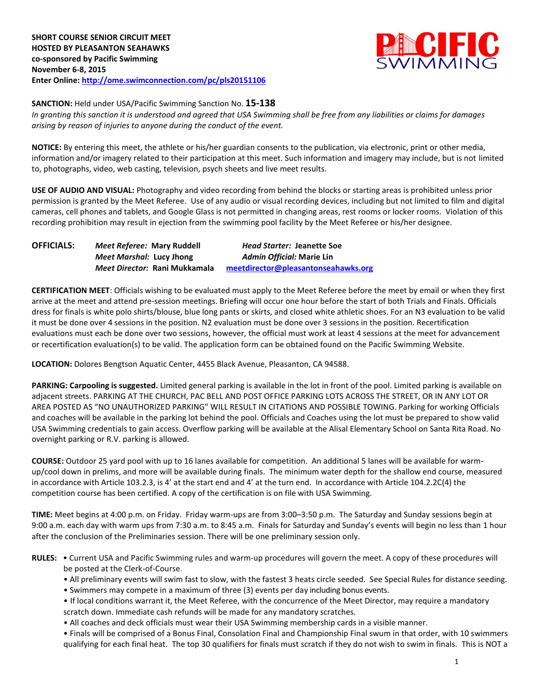

#### **SANCTION:** Held under USA/Pacific Swimming Sanction No. **15-138**

*In granting this sanction it is understood and agreed that USA Swimming shall be free from any liabilities or claims for damages arising by reason of injuries to anyone during the conduct of the event.*

**NOTICE:** By entering this meet, the athlete or his/her guardian consents to the publication, via electronic, print or other media, information and/or imagery related to their participation at this meet. Such information and imagery may include, but is not limited to, photographs, video, web casting, television, psych sheets and live meet results.

**USE OF AUDIO AND VISUAL:** Photography and video recording from behind the blocks or starting areas is prohibited unless prior permission is granted by the Meet Referee. Use of any audio or visual recording devices, including but not limited to film and digital cameras, cell phones and tablets, and Google Glass is not permitted in changing areas, rest rooms or locker rooms. Violation of this recording prohibition may result in ejection from the swimming pool facility by the Meet Referee or his/her designee.

| <b>OFFICIALS:</b> | Meet Referee: Mary Ruddell           | <b>Head Starter: Jeanette Soe</b>   |  |  |
|-------------------|--------------------------------------|-------------------------------------|--|--|
|                   | Meet Marshal: Lucy Jhong             | Admin Official: Marie Lin           |  |  |
|                   | <i>Meet Director:</i> Rani Mukkamala | meetdirector@pleasantonseahawks.org |  |  |

**CERTIFICATION MEET**: Officials wishing to be evaluated must apply to the Meet Referee before the meet by email or when they first arrive at the meet and attend pre-session meetings. Briefing will occur one hour before the start of both Trials and Finals. Officials dress for finals is white polo shirts/blouse, blue long pants or skirts, and closed white athletic shoes. For an N3 evaluation to be valid it must be done over 4 sessions in the position. N2 evaluation must be done over 3 sessions in the position. Recertification evaluations must each be done over two sessions, however, the official must work at least 4 sessions at the meet for advancement or recertification evaluation(s) to be valid. The application form can be obtained found on the Pacific Swimming Website.

**LOCATION:** Dolores Bengtson Aquatic Center, 4455 Black Avenue, Pleasanton, CA 94588.

**PARKING: Carpooling is suggested.** Limited general parking is available in the lot in front of the pool. Limited parking is available on adjacent streets. PARKING AT THE CHURCH, PAC BELL AND POST OFFICE PARKING LOTS ACROSS THE STREET, OR IN ANY LOT OR AREA POSTED AS "NO UNAUTHORIZED PARKING" WILL RESULT IN CITATIONS AND POSSIBLE TOWING. Parking for working Officials and coaches will be available in the parking lot behind the pool. Officials and Coaches using the lot must be prepared to show valid USA Swimming credentials to gain access. Overflow parking will be available at the Alisal Elementary School on Santa Rita Road. No overnight parking or R.V. parking is allowed.

**COURSE:** Outdoor 25 yard pool with up to 16 lanes available for competition. An additional 5 lanes will be available for warmup/cool down in prelims, and more will be available during finals. The minimum water depth for the shallow end course, measured in accordance with Article 103.2.3, is 4' at the start end and 4' at the turn end. In accordance with Article 104.2.2C(4) the competition course has been certified. A copy of the certification is on file with USA Swimming.

**TIME:** Meet begins at 4:00 p.m. on Friday. Friday warm-ups are from 3:00–3:50 p.m. The Saturday and Sunday sessions begin at 9:00 a.m. each day with warm ups from 7:30 a.m. to 8:45 a.m. Finals for Saturday and Sunday's events will begin no less than 1 hour after the conclusion of the Preliminaries session. There will be one preliminary session only.

- **RULES:** Current USA and Pacific Swimming rules and warm-up procedures will govern the meet. A copy of these procedures will be posted at the Clerk-of-Course.
	- All preliminary events will swim fast to slow, with the fastest 3 heats circle seeded. See Special Rules for distance seeding.
	- Swimmers may compete in a maximum of three (3) events per day including bonus events.
	- If local conditions warrant it, the Meet Referee, with the concurrence of the Meet Director, may require a mandatory scratch down. Immediate cash refunds will be made for any mandatory scratches.
	- All coaches and deck officials must wear their USA Swimming membership cards in a visible manner.

• Finals will be comprised of a Bonus Final, Consolation Final and Championship Final swum in that order, with 10 swimmers qualifying for each final heat. The top 30 qualifiers for finals must scratch if they do not wish to swim in finals. This is NOT a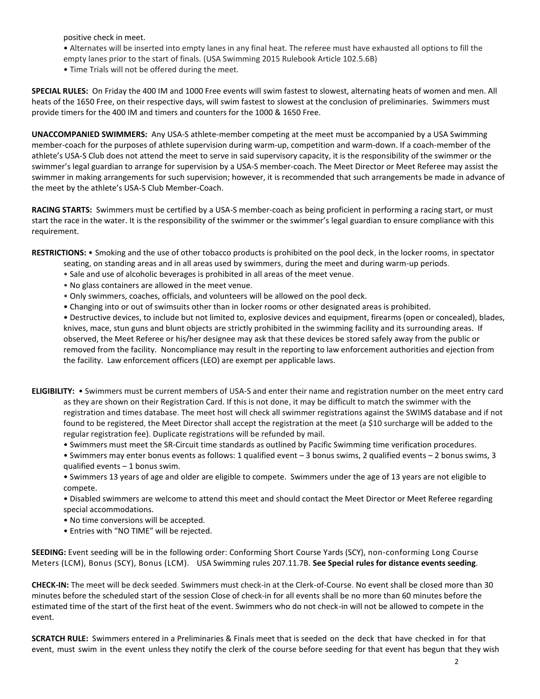positive check in meet.

- Alternates will be inserted into empty lanes in any final heat. The referee must have exhausted all options to fill the
- empty lanes prior to the start of finals. (USA Swimming 2015 Rulebook Article 102.5.6B)
- Time Trials will not be offered during the meet.

**SPECIAL RULES:** On Friday the 400 IM and 1000 Free events will swim fastest to slowest, alternating heats of women and men. All heats of the 1650 Free, on their respective days, will swim fastest to slowest at the conclusion of preliminaries. Swimmers must provide timers for the 400 IM and timers and counters for the 1000 & 1650 Free.

**UNACCOMPANIED SWIMMERS:** Any USA-S athlete-member competing at the meet must be accompanied by a USA Swimming member-coach for the purposes of athlete supervision during warm-up, competition and warm-down. If a coach-member of the athlete's USA-S Club does not attend the meet to serve in said supervisory capacity, it is the responsibility of the swimmer or the swimmer's legal guardian to arrange for supervision by a USA-S member-coach. The Meet Director or Meet Referee may assist the swimmer in making arrangements for such supervision; however, it is recommended that such arrangements be made in advance of the meet by the athlete's USA-S Club Member-Coach.

**RACING STARTS:** Swimmers must be certified by a USA-S member-coach as being proficient in performing a racing start, or must start the race in the water. It is the responsibility of the swimmer or the swimmer's legal guardian to ensure compliance with this requirement.

**RESTRICTIONS:** • Smoking and the use of other tobacco products is prohibited on the pool deck, in the locker rooms, in spectator

- seating, on standing areas and in all areas used by swimmers, during the meet and during warm-up periods.
- Sale and use of alcoholic beverages is prohibited in all areas of the meet venue.
- No glass containers are allowed in the meet venue.
- Only swimmers, coaches, officials, and volunteers will be allowed on the pool deck.
- Changing into or out of swimsuits other than in locker rooms or other designated areas is prohibited.

• Destructive devices, to include but not limited to, explosive devices and equipment, firearms (open or concealed), blades, knives, mace, stun guns and blunt objects are strictly prohibited in the swimming facility and its surrounding areas. If observed, the Meet Referee or his/her designee may ask that these devices be stored safely away from the public or removed from the facility. Noncompliance may result in the reporting to law enforcement authorities and ejection from the facility. Law enforcement officers (LEO) are exempt per applicable laws.

- **ELIGIBILITY:** Swimmers must be current members of USA-S and enter their name and registration number on the meet entry card as they are shown on their Registration Card. If this is not done, it may be difficult to match the swimmer with the registration and times database. The meet host will check all swimmer registrations against the SWIMS database and if not found to be registered, the Meet Director shall accept the registration at the meet (a \$10 surcharge will be added to the regular registration fee). Duplicate registrations will be refunded by mail.
	- Swimmers must meet the SR-Circuit time standards as outlined by Pacific Swimming time verification procedures.
	- Swimmers may enter bonus events as follows: 1 qualified event 3 bonus swims, 2 qualified events 2 bonus swims, 3 qualified events – 1 bonus swim.

• Swimmers 13 years of age and older are eligible to compete. Swimmers under the age of 13 years are not eligible to compete.

• Disabled swimmers are welcome to attend this meet and should contact the Meet Director or Meet Referee regarding special accommodations.

- No time conversions will be accepted.
- Entries with "NO TIME" will be rejected.

**SEEDING:** Event seeding will be in the following order: Conforming Short Course Yards (SCY), non-conforming Long Course Meters (LCM), Bonus (SCY), Bonus (LCM). USA Swimming rules 207.11.7B. **See Special rules for distance events seeding**.

**CHECK-IN:** The meet will be deck seeded. Swimmers must check-in at the Clerk-of-Course. No event shall be closed more than 30 minutes before the scheduled start of the session Close of check‐in for all events shall be no more than 60 minutes before the estimated time of the start of the first heat of the event. Swimmers who do not check-in will not be allowed to compete in the event.

**SCRATCH RULE:** Swimmers entered in a Preliminaries & Finals meet that is seeded on the deck that have checked in for that event, must swim in the event unless they notify the clerk of the course before seeding for that event has begun that they wish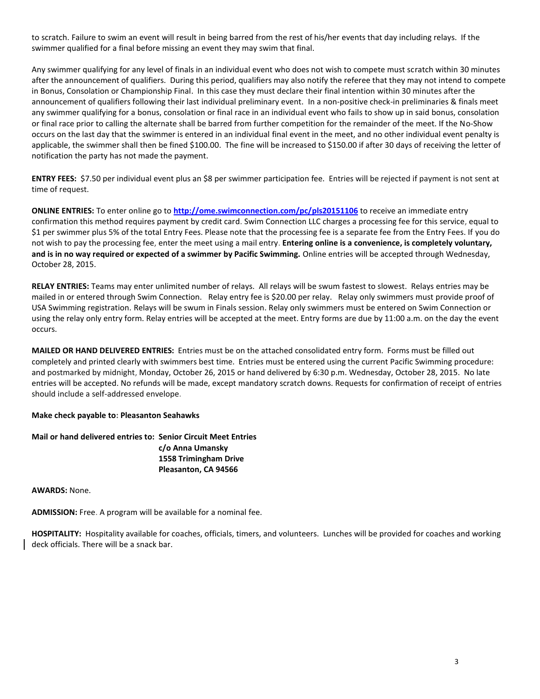to scratch. Failure to swim an event will result in being barred from the rest of his/her events that day including relays. If the swimmer qualified for a final before missing an event they may swim that final.

Any swimmer qualifying for any level of finals in an individual event who does not wish to compete must scratch within 30 minutes after the announcement of qualifiers. During this period, qualifiers may also notify the referee that they may not intend to compete in Bonus, Consolation or Championship Final. In this case they must declare their final intention within 30 minutes after the announcement of qualifiers following their last individual preliminary event. In a non-positive check-in preliminaries & finals meet any swimmer qualifying for a bonus, consolation or final race in an individual event who fails to show up in said bonus, consolation or final race prior to calling the alternate shall be barred from further competition for the remainder of the meet. If the No-Show occurs on the last day that the swimmer is entered in an individual final event in the meet, and no other individual event penalty is applicable, the swimmer shall then be fined \$100.00. The fine will be increased to \$150.00 if after 30 days of receiving the letter of notification the party has not made the payment.

**ENTRY FEES:** \$7.50 per individual event plus an \$8 per swimmer participation fee. Entries will be rejected if payment is not sent at time of request.

**ONLINE ENTRIES:** To enter online go to **<http://ome.swimconnection.com/pc/pls20151106>** to receive an immediate entry confirmation this method requires payment by credit card. Swim Connection LLC charges a processing fee for this service, equal to \$1 per swimmer plus 5% of the total Entry Fees. Please note that the processing fee is a separate fee from the Entry Fees. If you do not wish to pay the processing fee, enter the meet using a mail entry. **Entering online is a convenience, is completely voluntary, and is in no way required or expected of a swimmer by Pacific Swimming.** Online entries will be accepted through Wednesday, October 28, 2015.

**RELAY ENTRIES:** Teams may enter unlimited number of relays. All relays will be swum fastest to slowest. Relays entries may be mailed in or entered through Swim Connection. Relay entry fee is \$20.00 per relay. Relay only swimmers must provide proof of USA Swimming registration. Relays will be swum in Finals session. Relay only swimmers must be entered on Swim Connection or using the relay only entry form. Relay entries will be accepted at the meet. Entry forms are due by 11:00 a.m. on the day the event occurs.

**MAILED OR HAND DELIVERED ENTRIES:** Entries must be on the attached consolidated entry form. Forms must be filled out completely and printed clearly with swimmers best time. Entries must be entered using the current Pacific Swimming procedure: and postmarked by midnight, Monday, October 26, 2015 or hand delivered by 6:30 p.m. Wednesday, October 28, 2015. No late entries will be accepted. No refunds will be made, except mandatory scratch downs. Requests for confirmation of receipt of entries should include a self-addressed envelope.

#### **Make check payable to: Pleasanton Seahawks**

# **Mail or hand delivered entries to: Senior Circuit Meet Entries c/o Anna Umansky 1558 Trimingham Drive Pleasanton, CA 94566**

**AWARDS:** None.

**ADMISSION:** Free. A program will be available for a nominal fee.

**HOSPITALITY:** Hospitality available for coaches, officials, timers, and volunteers. Lunches will be provided for coaches and working deck officials. There will be a snack bar.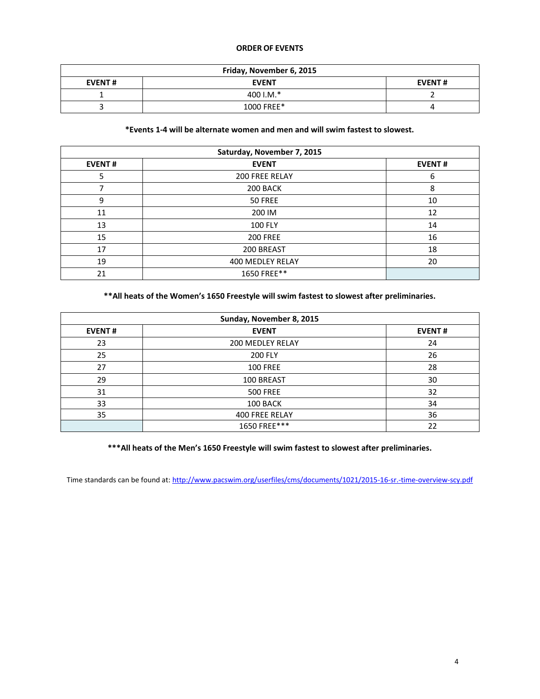# **ORDER OF EVENTS**

| Friday, November 6, 2015 |              |               |  |  |  |
|--------------------------|--------------|---------------|--|--|--|
| <b>EVENT#</b>            | <b>EVENT</b> | <b>EVENT#</b> |  |  |  |
|                          | 400 I.M. $*$ |               |  |  |  |
|                          | 1000 FREE*   |               |  |  |  |

### **\*Events 1-4 will be alternate women and men and will swim fastest to slowest.**

| Saturday, November 7, 2015 |                  |               |  |  |  |
|----------------------------|------------------|---------------|--|--|--|
| <b>EVENT#</b>              | <b>EVENT</b>     | <b>EVENT#</b> |  |  |  |
| 5                          | 200 FREE RELAY   | 6             |  |  |  |
|                            | 200 BACK         | 8             |  |  |  |
| 9                          | 50 FREE          | 10            |  |  |  |
| 11                         | 200 IM           | 12            |  |  |  |
| 13                         | <b>100 FLY</b>   | 14            |  |  |  |
| 15                         | <b>200 FREE</b>  | 16            |  |  |  |
| 17                         | 200 BREAST       | 18            |  |  |  |
| 19                         | 400 MEDLEY RELAY | 20            |  |  |  |
| 21                         | 1650 FREE**      |               |  |  |  |

**\*\*All heats of the Women's 1650 Freestyle will swim fastest to slowest after preliminaries.**

|               | Sunday, November 8, 2015 |               |  |  |  |  |
|---------------|--------------------------|---------------|--|--|--|--|
| <b>EVENT#</b> | <b>EVENT</b>             | <b>EVENT#</b> |  |  |  |  |
| 23            | <b>200 MEDLEY RELAY</b>  | 24            |  |  |  |  |
| 25            | <b>200 FLY</b>           | 26            |  |  |  |  |
| 27            | <b>100 FREE</b>          | 28            |  |  |  |  |
| 29            | 100 BREAST               | 30            |  |  |  |  |
| 31            | <b>500 FREE</b>          | 32            |  |  |  |  |
| 33            | 100 BACK                 | 34            |  |  |  |  |
| 35            | <b>400 FREE RELAY</b>    | 36            |  |  |  |  |
|               | 1650 FREE***             | 22            |  |  |  |  |

**\*\*\*All heats of the Men's 1650 Freestyle will swim fastest to slowest after preliminaries.**

Time standards can be found at: <http://www.pacswim.org/userfiles/cms/documents/1021/2015-16-sr.-time-overview-scy.pdf>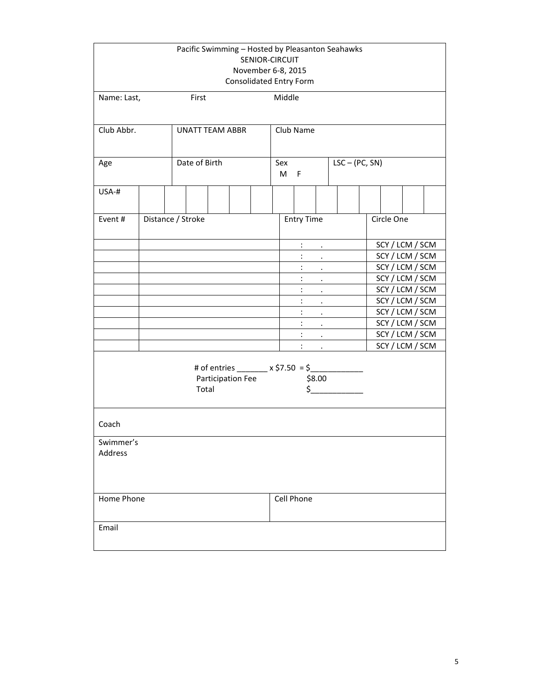| Pacific Swimming - Hosted by Pleasanton Seahawks<br>SENIOR-CIRCUIT<br>November 6-8, 2015<br>Consolidated Entry Form |                                                                                                            |                        |            |              |  |                                             |                      |                             |                    |                 |                 |                 |  |
|---------------------------------------------------------------------------------------------------------------------|------------------------------------------------------------------------------------------------------------|------------------------|------------|--------------|--|---------------------------------------------|----------------------|-----------------------------|--------------------|-----------------|-----------------|-----------------|--|
| Name: Last,                                                                                                         |                                                                                                            | First                  |            |              |  | Middle                                      |                      |                             |                    |                 |                 |                 |  |
| Club Abbr.                                                                                                          |                                                                                                            | <b>UNATT TEAM ABBR</b> |            |              |  |                                             | Club Name            |                             |                    |                 |                 |                 |  |
| Age                                                                                                                 |                                                                                                            | Date of Birth          |            | Sex<br>$M$ F |  |                                             | $LSC - (PC, SN)$     |                             |                    |                 |                 |                 |  |
| USA-#                                                                                                               |                                                                                                            |                        |            |              |  |                                             |                      |                             |                    |                 |                 |                 |  |
| Event#                                                                                                              |                                                                                                            | Distance / Stroke      |            |              |  |                                             | <b>Entry Time</b>    |                             |                    |                 | Circle One      |                 |  |
|                                                                                                                     |                                                                                                            |                        |            |              |  |                                             | $\ddot{\phantom{a}}$ | $\sim 10^{-10}$             |                    |                 |                 | SCY / LCM / SCM |  |
|                                                                                                                     |                                                                                                            |                        |            |              |  | $\ddot{\cdot}$<br>$\mathbf{r} = \mathbf{r}$ |                      |                             |                    |                 | SCY / LCM / SCM |                 |  |
|                                                                                                                     |                                                                                                            |                        |            |              |  | $\ddot{\cdot}$<br>$\sim 100$                |                      |                             |                    | SCY / LCM / SCM |                 |                 |  |
|                                                                                                                     |                                                                                                            |                        |            |              |  |                                             | $\ddot{\cdot}$       | $\sim 100$ km s $^{-1}$     |                    |                 |                 | SCY / LCM / SCM |  |
|                                                                                                                     |                                                                                                            |                        |            |              |  |                                             | ÷                    | $\mathcal{L}^{\text{max}}$  |                    |                 |                 | SCY / LCM / SCM |  |
|                                                                                                                     |                                                                                                            |                        |            |              |  |                                             | $\ddot{\phantom{a}}$ | $\mathbf{r} = \mathbf{r}$ . |                    |                 |                 | SCY / LCM / SCM |  |
|                                                                                                                     |                                                                                                            |                        |            |              |  |                                             | $\ddot{\phantom{a}}$ | $\mathcal{A}=\{0,1\}$       |                    |                 |                 | SCY / LCM / SCM |  |
|                                                                                                                     |                                                                                                            |                        |            |              |  |                                             | $\ddot{\cdot}$       |                             | and the company    |                 |                 | SCY / LCM / SCM |  |
|                                                                                                                     |                                                                                                            |                        |            |              |  | $\ddot{\phantom{a}}$                        | $\sim$               |                             |                    |                 | SCY / LCM / SCM |                 |  |
|                                                                                                                     |                                                                                                            |                        |            |              |  |                                             |                      |                             | and the company of |                 |                 | SCY / LCM / SCM |  |
|                                                                                                                     | # of entries _______ x \$7.50 = \$_________<br>Participation Fee<br>\$8.00<br>$\ddot{\texttt{S}}$<br>Total |                        |            |              |  |                                             |                      |                             |                    |                 |                 |                 |  |
| Coach                                                                                                               |                                                                                                            |                        |            |              |  |                                             |                      |                             |                    |                 |                 |                 |  |
| Swimmer's<br>Address                                                                                                |                                                                                                            |                        |            |              |  |                                             |                      |                             |                    |                 |                 |                 |  |
| Home Phone                                                                                                          |                                                                                                            |                        | Cell Phone |              |  |                                             |                      |                             |                    |                 |                 |                 |  |
| Email                                                                                                               |                                                                                                            |                        |            |              |  |                                             |                      |                             |                    |                 |                 |                 |  |